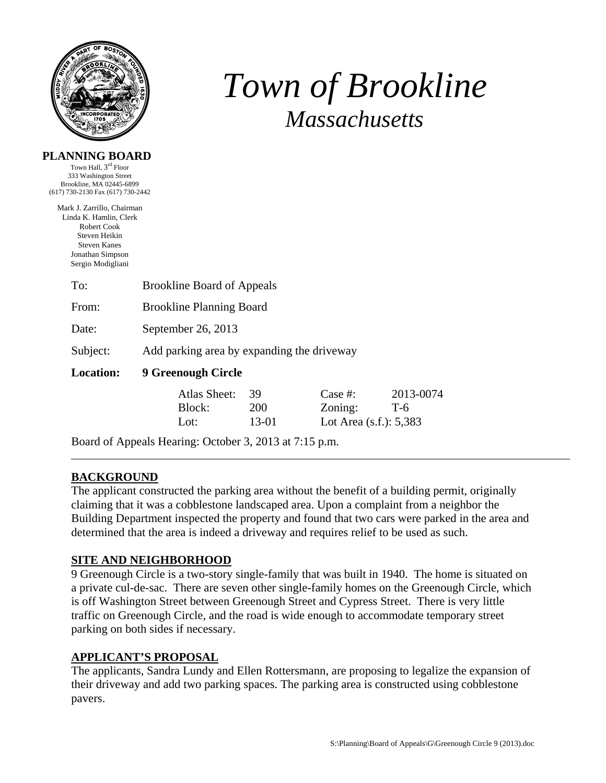

**PLANNING BOARD**  Town Hall, 3<sup>rd</sup> Floor

# *Town of Brookline Massachusetts*

| 333 Washington Street<br>Brookline, MA 02445-6899<br>(617) 730-2130 Fax (617) 730-2442                                                               |                                                        |                           |                                                    |                    |  |
|------------------------------------------------------------------------------------------------------------------------------------------------------|--------------------------------------------------------|---------------------------|----------------------------------------------------|--------------------|--|
| Mark J. Zarrillo, Chairman<br>Linda K. Hamlin, Clerk<br>Robert Cook<br>Steven Heikin<br><b>Steven Kanes</b><br>Jonathan Simpson<br>Sergio Modigliani |                                                        |                           |                                                    |                    |  |
| To:                                                                                                                                                  | <b>Brookline Board of Appeals</b>                      |                           |                                                    |                    |  |
| From:                                                                                                                                                | <b>Brookline Planning Board</b>                        |                           |                                                    |                    |  |
| Date:                                                                                                                                                | September 26, 2013                                     |                           |                                                    |                    |  |
| Subject:                                                                                                                                             | Add parking area by expanding the driveway             |                           |                                                    |                    |  |
| <b>Location:</b>                                                                                                                                     | 9 Greenough Circle                                     |                           |                                                    |                    |  |
|                                                                                                                                                      | Atlas Sheet:<br>Block:<br>Lot:                         | 39<br><b>200</b><br>13-01 | Case $#$ :<br>Zoning:<br>Lot Area $(s.f.)$ : 5,383 | 2013-0074<br>$T-6$ |  |
|                                                                                                                                                      | Board of Appeals Hearing: October 3, 2013 at 7:15 p.m. |                           |                                                    |                    |  |

# **BACKGROUND**

The applicant constructed the parking area without the benefit of a building permit, originally claiming that it was a cobblestone landscaped area. Upon a complaint from a neighbor the Building Department inspected the property and found that two cars were parked in the area and determined that the area is indeed a driveway and requires relief to be used as such.

### **SITE AND NEIGHBORHOOD**

9 Greenough Circle is a two-story single-family that was built in 1940. The home is situated on a private cul-de-sac. There are seven other single-family homes on the Greenough Circle, which is off Washington Street between Greenough Street and Cypress Street. There is very little traffic on Greenough Circle, and the road is wide enough to accommodate temporary street parking on both sides if necessary.

# **APPLICANT'S PROPOSAL**

The applicants, Sandra Lundy and Ellen Rottersmann, are proposing to legalize the expansion of their driveway and add two parking spaces. The parking area is constructed using cobblestone pavers.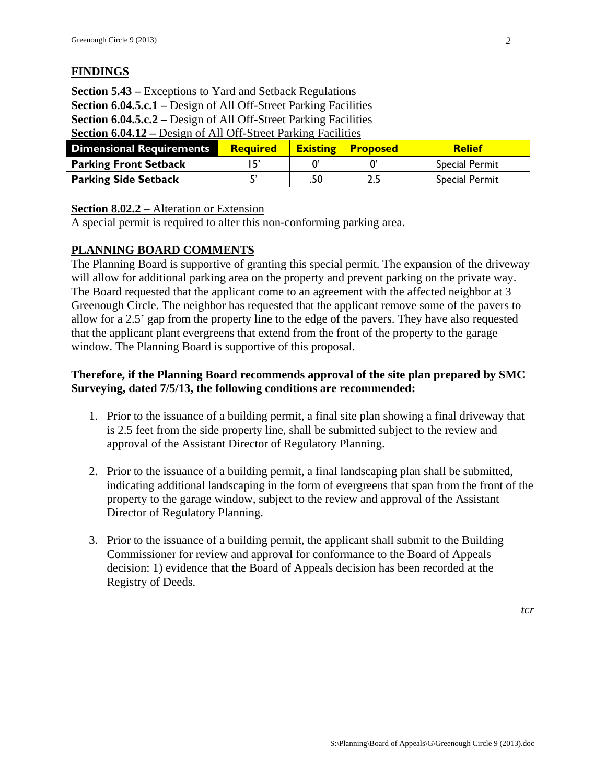# **FINDINGS**

| <b>Section 6.04.12 – Design of All Off-Street Parking Facilities</b>    |  |  |  |  |  |  |  |
|-------------------------------------------------------------------------|--|--|--|--|--|--|--|
| <b>Section 6.04.5.c.2</b> – Design of All Off-Street Parking Facilities |  |  |  |  |  |  |  |
| <b>Section 6.04.5.c.1</b> – Design of All Off-Street Parking Facilities |  |  |  |  |  |  |  |
| <b>Section 5.43 – Exceptions to Yard and Setback Regulations</b>        |  |  |  |  |  |  |  |

| Dimensional Requirements     | <b>Required</b> | <b>Existing</b> | <b>Proposed</b> | <b>Relief</b>         |
|------------------------------|-----------------|-----------------|-----------------|-----------------------|
| <b>Parking Front Setback</b> |                 |                 |                 | <b>Special Permit</b> |
| <b>Parking Side Setback</b>  |                 | .50             |                 | <b>Special Permit</b> |

## **Section 8.02.2** – Alteration or Extension

A special permit is required to alter this non-conforming parking area.

### **PLANNING BOARD COMMENTS**

The Planning Board is supportive of granting this special permit. The expansion of the driveway will allow for additional parking area on the property and prevent parking on the private way. The Board requested that the applicant come to an agreement with the affected neighbor at 3 Greenough Circle. The neighbor has requested that the applicant remove some of the pavers to allow for a 2.5' gap from the property line to the edge of the pavers. They have also requested that the applicant plant evergreens that extend from the front of the property to the garage window. The Planning Board is supportive of this proposal.

## **Therefore, if the Planning Board recommends approval of the site plan prepared by SMC Surveying, dated 7/5/13, the following conditions are recommended:**

- 1. Prior to the issuance of a building permit, a final site plan showing a final driveway that is 2.5 feet from the side property line, shall be submitted subject to the review and approval of the Assistant Director of Regulatory Planning.
- 2. Prior to the issuance of a building permit, a final landscaping plan shall be submitted, indicating additional landscaping in the form of evergreens that span from the front of the property to the garage window, subject to the review and approval of the Assistant Director of Regulatory Planning.
- 3. Prior to the issuance of a building permit, the applicant shall submit to the Building Commissioner for review and approval for conformance to the Board of Appeals decision: 1) evidence that the Board of Appeals decision has been recorded at the Registry of Deeds.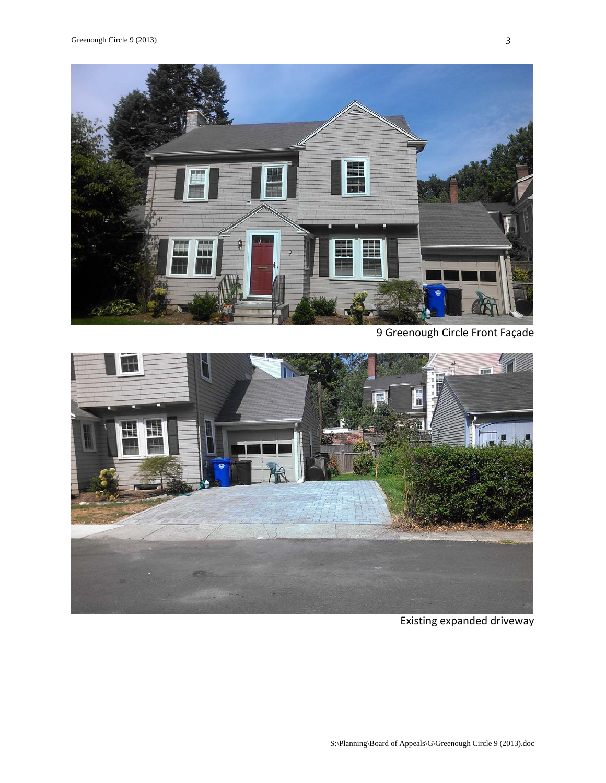

9 Greenough Circle Front Façade



Existing expanded driveway